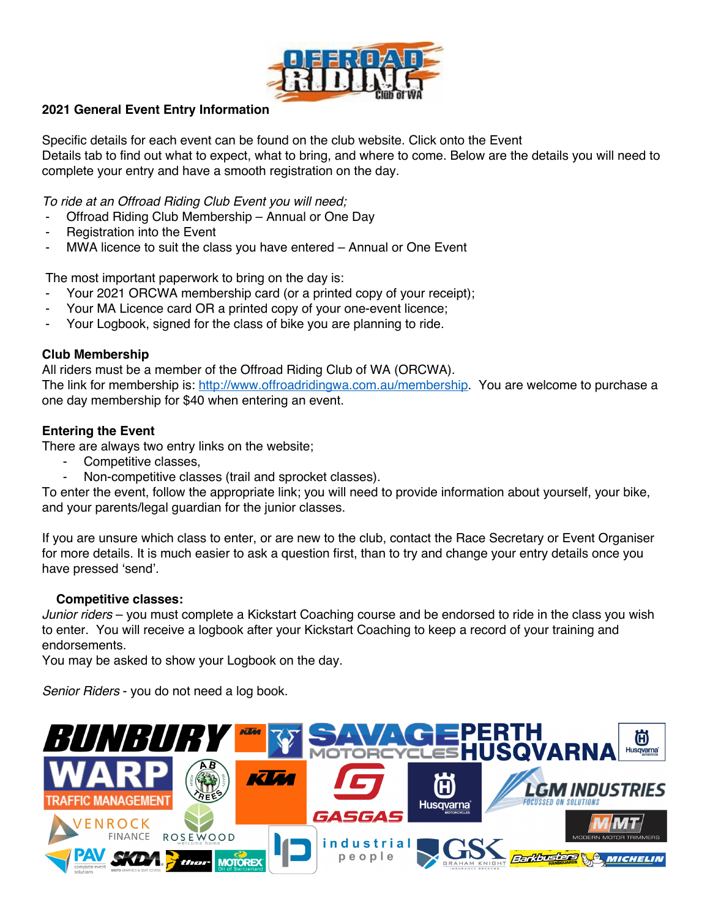

# **2021 General Event Entry Information**

Specific details for each event can be found on the club website. Click onto the Event Details tab to find out what to expect, what to bring, and where to come. Below are the details you will need to complete your entry and have a smooth registration on the day.

*To ride at an Offroad Riding Club Event you will need;*

- Offroad Riding Club Membership Annual or One Day
- Registration into the Event
- MWA licence to suit the class you have entered Annual or One Event

The most important paperwork to bring on the day is:

- Your 2021 ORCWA membership card (or a printed copy of your receipt);
- Your MA Licence card OR a printed copy of your one-event licence;
- Your Logbook, signed for the class of bike you are planning to ride.

## **Club Membership**

All riders must be a member of the Offroad Riding Club of WA (ORCWA). The link for membership is: http://www.offroadridingwa.com.au/membership. You are welcome to purchase a one day membership for \$40 when entering an event.

## **Entering the Event**

There are always two entry links on the website;

- Competitive classes,
- Non-competitive classes (trail and sprocket classes).

To enter the event, follow the appropriate link; you will need to provide information about yourself, your bike, and your parents/legal guardian for the junior classes.

If you are unsure which class to enter, or are new to the club, contact the Race Secretary or Event Organiser for more details. It is much easier to ask a question first, than to try and change your entry details once you have pressed 'send'.

### **Competitive classes:**

*Junior riders* – you must complete a Kickstart Coaching course and be endorsed to ride in the class you wish to enter. You will receive a logbook after your Kickstart Coaching to keep a record of your training and endorsements.

You may be asked to show your Logbook on the day.

*Senior Riders* - you do not need a log book.

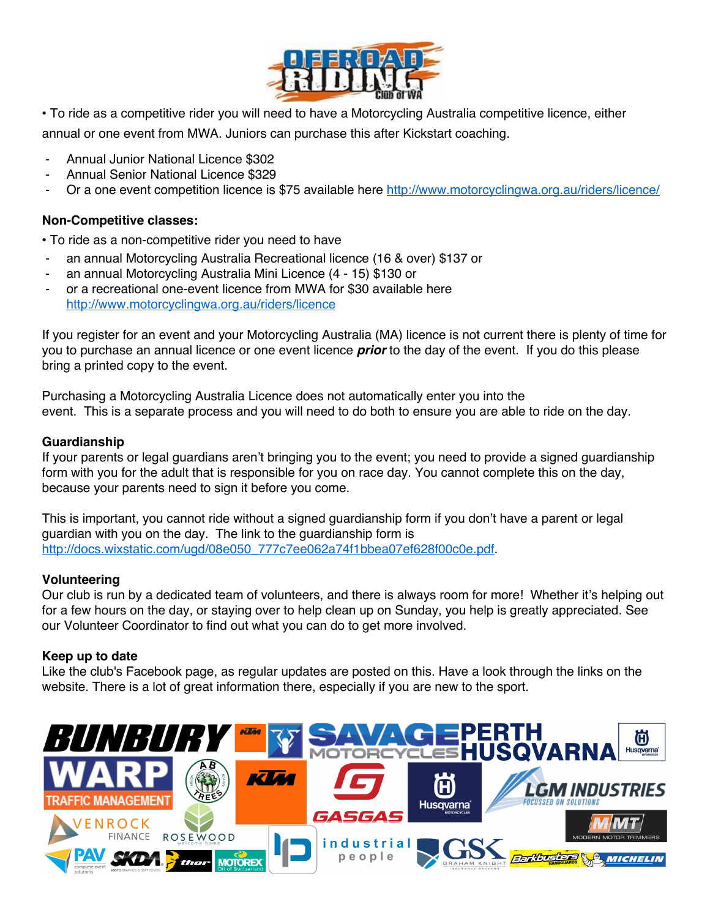

- . To ride as a competitive rider you will need to have a Motorcycling Australia competitive licence, either annual or one event from MWA. Juniors can purchase this after Kickstart coaching.
- Annual Junior National Licence \$302
- Annual Senior National Licence \$329
- Or a one event competition licence is \$75 available here http://www.motorcyclingwa.org.au/riders/licence/

## **Non-Competitive classes:**

• To ride as a non-competitive rider you need to have

- an annual Motorcycling Australia Recreational licence (16 & over) \$137 or
- an annual Motorcycling Australia Mini Licence (4 15) \$130 or
- or a recreational one-event licence from MWA for \$30 available here http://www.motorcyclingwa.org.au/riders/licence

If you register for an event and your Motorcycling Australia (MA) licence is not current there is plenty of time for you to purchase an annual licence or one event licence *prior* to the day of the event. If you do this please bring a printed copy to the event.

Purchasing a Motorcycling Australia Licence does not automatically enter you into the event. This is a separate process and you will need to do both to ensure you are able to ride on the day.

#### **Guardianship**

If your parents or legal guardians aren't bringing you to the event; you need to provide a signed guardianship form with you for the adult that is responsible for you on race day. You cannot complete this on the day, because your parents need to sign it before you come.

This is important, you cannot ride without a signed guardianship form if you don't have a parent or legal guardian with you on the day. The link to the guardianship form is http://docs.wixstatic.com/ugd/08e050\_777c7ee062a74f1bbea07ef628f00c0e.pdf.

### **Volunteering**

Our club is run by a dedicated team of volunteers, and there is always room for more! Whether it's helping out for a few hours on the day, or staying over to help clean up on Sunday, you help is greatly appreciated. See our Volunteer Coordinator to find out what you can do to get more involved.

#### **Keep up to date**

Like the club's Facebook page, as regular updates are posted on this. Have a look through the links on the website. There is a lot of great information there, especially if you are new to the sport.